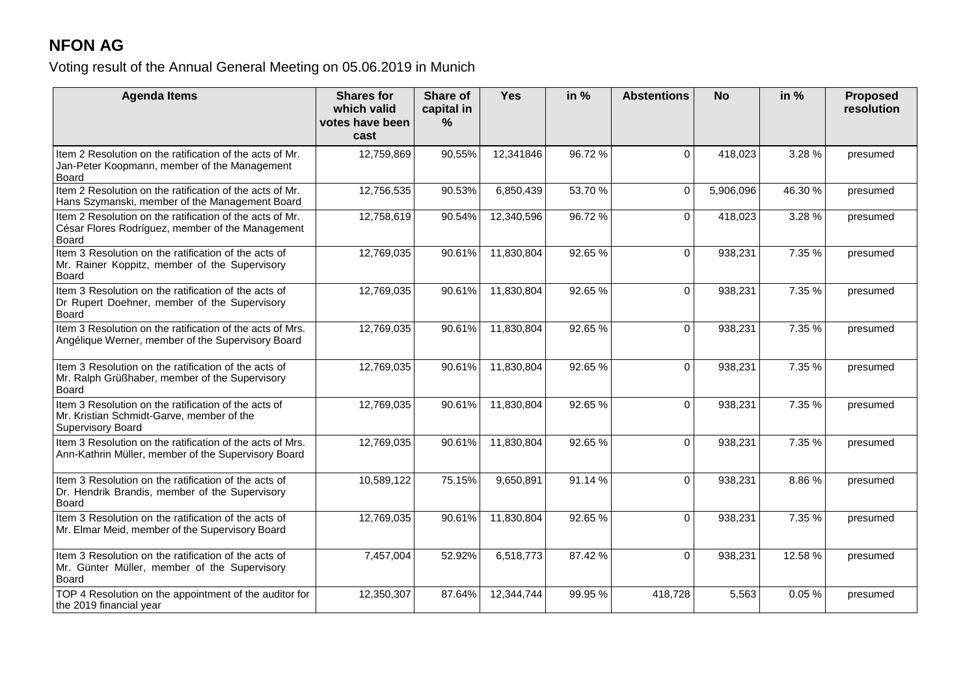## **NFON AG**

Voting result of the Annual General Meeting on 05.06.2019 in Munich

| <b>Agenda Items</b>                                                                                                           | <b>Shares for</b><br>which valid<br>votes have been<br>cast | Share of<br>capital in<br>% | <b>Yes</b> | in %   | <b>Abstentions</b> | <b>No</b> | in $%$ | <b>Proposed</b><br>resolution |
|-------------------------------------------------------------------------------------------------------------------------------|-------------------------------------------------------------|-----------------------------|------------|--------|--------------------|-----------|--------|-------------------------------|
| Item 2 Resolution on the ratification of the acts of Mr.<br>Jan-Peter Koopmann, member of the Management<br>Board             | 12,759,869                                                  | 90,55%                      | 12,341846  | 96.72% | $\Omega$           | 418,023   | 3.28%  | presumed                      |
| Item 2 Resolution on the ratification of the acts of Mr.<br>Hans Szymanski, member of the Management Board                    | 12,756,535                                                  | 90.53%                      | 6,850,439  | 53.70% | $\Omega$           | 5,906,096 | 46.30% | presumed                      |
| Item 2 Resolution on the ratification of the acts of Mr.<br>César Flores Rodríguez, member of the Management<br><b>Board</b>  | 12,758,619                                                  | 90.54%                      | 12,340,596 | 96.72% | $\Omega$           | 418,023   | 3.28 % | presumed                      |
| Item 3 Resolution on the ratification of the acts of<br>Mr. Rainer Koppitz, member of the Supervisory<br><b>Board</b>         | 12,769,035                                                  | 90.61%                      | 11,830,804 | 92.65% | $\Omega$           | 938,231   | 7.35 % | presumed                      |
| Item 3 Resolution on the ratification of the acts of<br>Dr Rupert Doehner, member of the Supervisory<br><b>Board</b>          | 12,769,035                                                  | 90.61%                      | 11,830,804 | 92.65% | $\Omega$           | 938,231   | 7.35 % | presumed                      |
| Item 3 Resolution on the ratification of the acts of Mrs.<br>Angélique Werner, member of the Supervisory Board                | 12,769,035                                                  | 90.61%                      | 11,830,804 | 92.65% | $\Omega$           | 938,231   | 7.35 % | presumed                      |
| Item 3 Resolution on the ratification of the acts of<br>Mr. Ralph Grüßhaber, member of the Supervisory<br><b>Board</b>        | 12,769,035                                                  | 90.61%                      | 11,830,804 | 92.65% | $\Omega$           | 938,231   | 7.35 % | presumed                      |
| Item 3 Resolution on the ratification of the acts of<br>Mr. Kristian Schmidt-Garve, member of the<br><b>Supervisory Board</b> | 12,769,035                                                  | 90.61%                      | 11,830,804 | 92.65% | $\Omega$           | 938,231   | 7.35 % | presumed                      |
| Item 3 Resolution on the ratification of the acts of Mrs.<br>Ann-Kathrin Müller, member of the Supervisory Board              | 12,769,035                                                  | 90.61%                      | 11,830,804 | 92.65% | $\Omega$           | 938,231   | 7.35 % | presumed                      |
| Item 3 Resolution on the ratification of the acts of<br>Dr. Hendrik Brandis, member of the Supervisory<br><b>Board</b>        | 10,589,122                                                  | 75.15%                      | 9,650,891  | 91.14% | $\Omega$           | 938,231   | 8.86%  | presumed                      |
| Item 3 Resolution on the ratification of the acts of<br>Mr. Elmar Meid, member of the Supervisory Board                       | 12,769,035                                                  | 90.61%                      | 11,830,804 | 92.65% | $\Omega$           | 938,231   | 7.35 % | presumed                      |
| Item 3 Resolution on the ratification of the acts of<br>Mr. Günter Müller, member of the Supervisory<br><b>Board</b>          | 7,457,004                                                   | 52.92%                      | 6,518,773  | 87.42% | $\Omega$           | 938,231   | 12.58% | presumed                      |
| TOP 4 Resolution on the appointment of the auditor for<br>the 2019 financial year                                             | 12,350,307                                                  | 87.64%                      | 12,344,744 | 99.95% | 418,728            | 5,563     | 0.05%  | presumed                      |